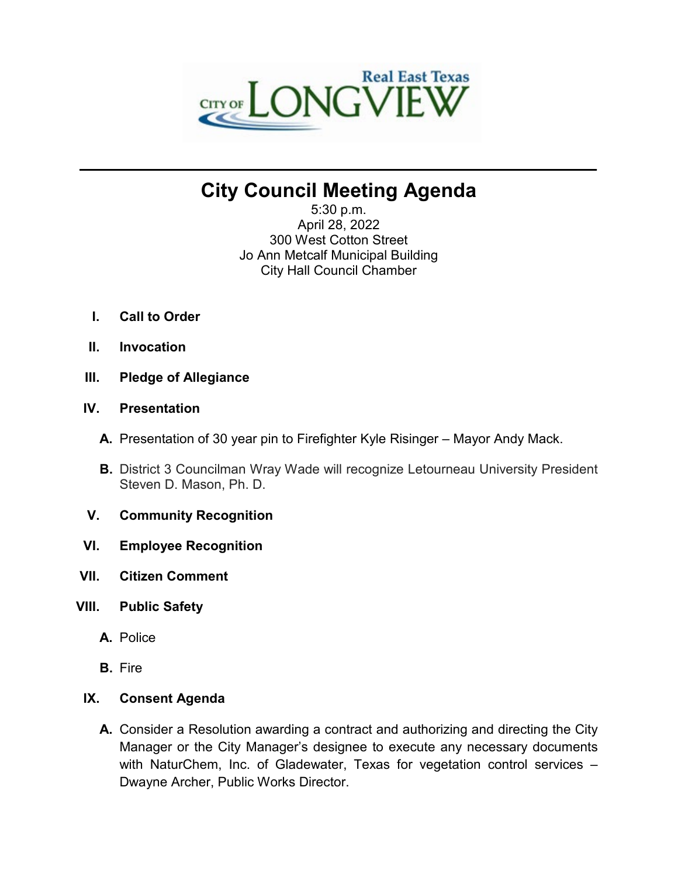

# **City Council Meeting Agenda**

**\_\_\_\_\_\_\_\_\_\_\_\_\_\_\_\_\_\_\_\_\_\_\_\_\_\_\_\_\_\_\_\_\_\_\_\_\_\_\_\_\_\_\_\_\_\_\_\_\_\_\_\_\_\_\_\_\_\_\_\_\_\_\_\_\_\_\_\_\_\_**

5:30 p.m. April 28, 2022 300 West Cotton Street Jo Ann Metcalf Municipal Building City Hall Council Chamber

- **I. Call to Order**
- **II. Invocation**
- **III. Pledge of Allegiance**

# **IV. Presentation**

- **A.** Presentation of 30 year pin to Firefighter Kyle Risinger Mayor Andy Mack.
- **B.** District 3 Councilman Wray Wade will recognize Letourneau University President Steven D. Mason, Ph. D.
- **V. Community Recognition**
- **VI. Employee Recognition**
- **VII. Citizen Comment**
- **VIII. Public Safety**
	- **A.** Police
	- **B.** Fire

# **IX. Consent Agenda**

**A.** Consider a Resolution awarding a contract and authorizing and directing the City Manager or the City Manager's designee to execute any necessary documents with NaturChem, Inc. of Gladewater, Texas for vegetation control services – Dwayne Archer, Public Works Director.